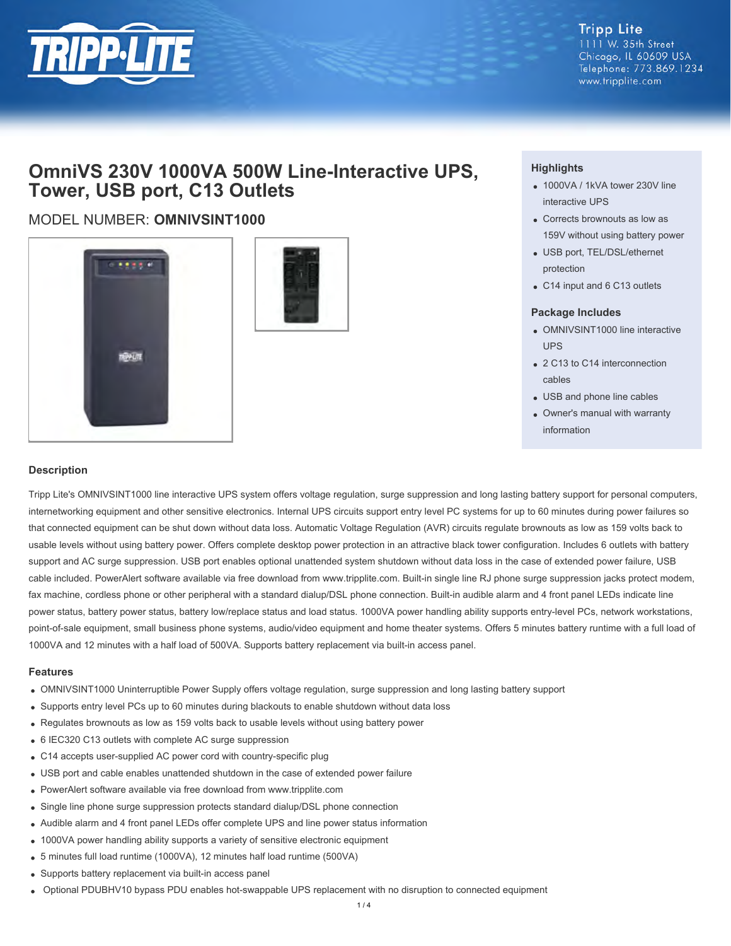

**Tripp Lite** 1111 W. 35th Street Chicago, IL 60609 USA Telephone: 773.869.1234 www.tripplite.com

## **OmniVS 230V 1000VA 500W Line-Interactive UPS, Tower, USB port, C13 Outlets**

### MODEL NUMBER: **OMNIVSINT1000**





#### **Highlights**

- 1000VA / 1kVA tower 230V line interactive UPS
- Corrects brownouts as low as 159V without using battery power
- USB port, TEL/DSL/ethernet protection
- C14 input and 6 C13 outlets

#### **Package Includes**

- OMNIVSINT1000 line interactive UPS
- 2 C13 to C14 interconnection cables
- USB and phone line cables
- Owner's manual with warranty information

#### **Description**

Tripp Lite's OMNIVSINT1000 line interactive UPS system offers voltage regulation, surge suppression and long lasting battery support for personal computers, internetworking equipment and other sensitive electronics. Internal UPS circuits support entry level PC systems for up to 60 minutes during power failures so that connected equipment can be shut down without data loss. Automatic Voltage Regulation (AVR) circuits regulate brownouts as low as 159 volts back to usable levels without using battery power. Offers complete desktop power protection in an attractive black tower configuration. Includes 6 outlets with battery support and AC surge suppression. USB port enables optional unattended system shutdown without data loss in the case of extended power failure, USB cable included. PowerAlert software available via free download from www.tripplite.com. Built-in single line RJ phone surge suppression jacks protect modem, fax machine, cordless phone or other peripheral with a standard dialup/DSL phone connection. Built-in audible alarm and 4 front panel LEDs indicate line power status, battery power status, battery low/replace status and load status. 1000VA power handling ability supports entry-level PCs, network workstations, point-of-sale equipment, small business phone systems, audio/video equipment and home theater systems. Offers 5 minutes battery runtime with a full load of 1000VA and 12 minutes with a half load of 500VA. Supports battery replacement via built-in access panel.

#### **Features**

- OMNIVSINT1000 Uninterruptible Power Supply offers voltage regulation, surge suppression and long lasting battery support
- Supports entry level PCs up to 60 minutes during blackouts to enable shutdown without data loss
- Regulates brownouts as low as 159 volts back to usable levels without using battery power
- 6 IEC320 C13 outlets with complete AC surge suppression
- C14 accepts user-supplied AC power cord with country-specific plug
- USB port and cable enables unattended shutdown in the case of extended power failure
- PowerAlert software available via free download from www.tripplite.com
- Single line phone surge suppression protects standard dialup/DSL phone connection
- Audible alarm and 4 front panel LEDs offer complete UPS and line power status information
- 1000VA power handling ability supports a variety of sensitive electronic equipment
- 5 minutes full load runtime (1000VA), 12 minutes half load runtime (500VA)
- Supports battery replacement via built-in access panel
- Optional PDUBHV10 bypass PDU enables hot-swappable UPS replacement with no disruption to connected equipment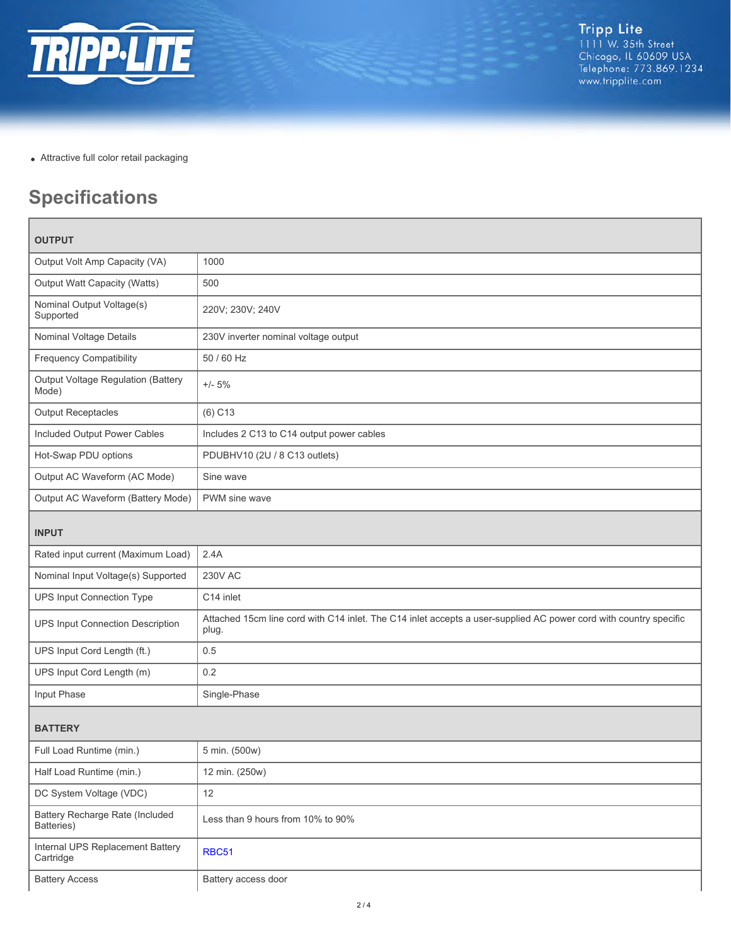

Attractive full color retail packaging

# **Specifications**

| <b>OUTPUT</b>                                      |                                                                                                                            |  |
|----------------------------------------------------|----------------------------------------------------------------------------------------------------------------------------|--|
| Output Volt Amp Capacity (VA)                      | 1000                                                                                                                       |  |
| Output Watt Capacity (Watts)                       | 500                                                                                                                        |  |
| Nominal Output Voltage(s)<br>Supported             | 220V; 230V; 240V                                                                                                           |  |
| Nominal Voltage Details                            | 230V inverter nominal voltage output                                                                                       |  |
| <b>Frequency Compatibility</b>                     | 50 / 60 Hz                                                                                                                 |  |
| <b>Output Voltage Regulation (Battery</b><br>Mode) | $+/- 5%$                                                                                                                   |  |
| <b>Output Receptacles</b>                          | $(6)$ C <sub>13</sub>                                                                                                      |  |
| Included Output Power Cables                       | Includes 2 C13 to C14 output power cables                                                                                  |  |
| Hot-Swap PDU options                               | PDUBHV10 (2U / 8 C13 outlets)                                                                                              |  |
| Output AC Waveform (AC Mode)                       | Sine wave                                                                                                                  |  |
| Output AC Waveform (Battery Mode)                  | PWM sine wave                                                                                                              |  |
| <b>INPUT</b>                                       |                                                                                                                            |  |
| Rated input current (Maximum Load)                 | 2.4A                                                                                                                       |  |
| Nominal Input Voltage(s) Supported                 | <b>230V AC</b>                                                                                                             |  |
| <b>UPS Input Connection Type</b>                   | C14 inlet                                                                                                                  |  |
| UPS Input Connection Description                   | Attached 15cm line cord with C14 inlet. The C14 inlet accepts a user-supplied AC power cord with country specific<br>plug. |  |
| UPS Input Cord Length (ft.)                        | 0.5                                                                                                                        |  |
| UPS Input Cord Length (m)                          | 0.2                                                                                                                        |  |
| Input Phase                                        | Single-Phase                                                                                                               |  |
| <b>BATTERY</b>                                     |                                                                                                                            |  |
| Full Load Runtime (min.)                           | 5 min. (500w)                                                                                                              |  |
| Half Load Runtime (min.)                           | 12 min. (250w)                                                                                                             |  |
| DC System Voltage (VDC)                            | 12                                                                                                                         |  |
| Battery Recharge Rate (Included<br>Batteries)      | Less than 9 hours from 10% to 90%                                                                                          |  |
| Internal UPS Replacement Battery<br>Cartridge      | <b>RBC51</b>                                                                                                               |  |
| <b>Battery Access</b>                              | Battery access door                                                                                                        |  |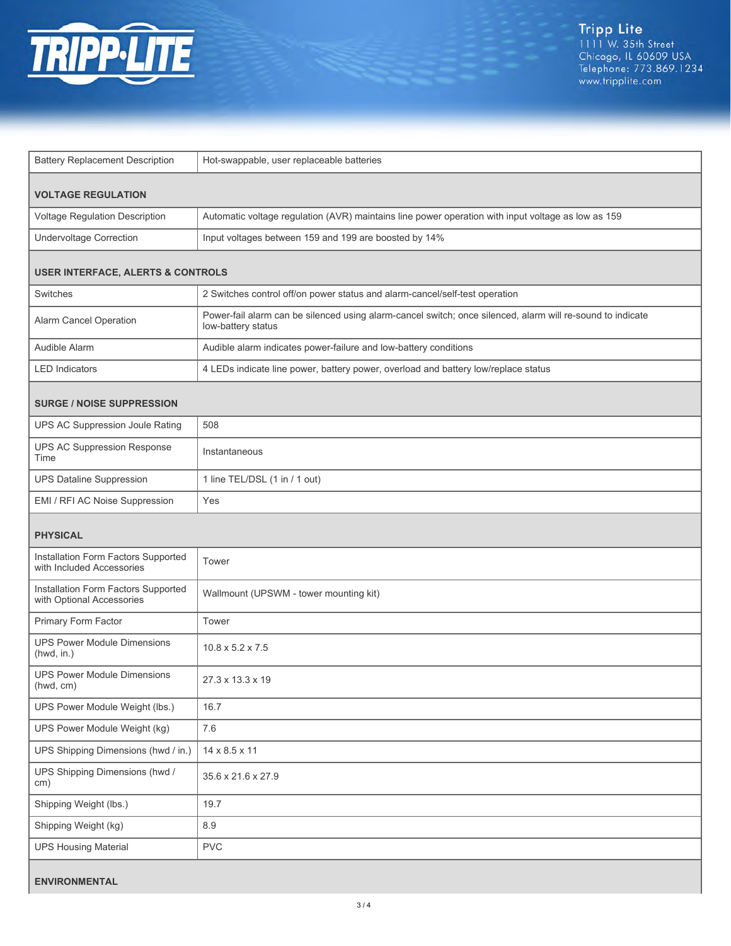

| <b>Battery Replacement Description</b>                           | Hot-swappable, user replaceable batteries                                                                                        |  |
|------------------------------------------------------------------|----------------------------------------------------------------------------------------------------------------------------------|--|
| <b>VOLTAGE REGULATION</b>                                        |                                                                                                                                  |  |
| Voltage Regulation Description                                   | Automatic voltage regulation (AVR) maintains line power operation with input voltage as low as 159                               |  |
| <b>Undervoltage Correction</b>                                   | Input voltages between 159 and 199 are boosted by 14%                                                                            |  |
| <b>USER INTERFACE, ALERTS &amp; CONTROLS</b>                     |                                                                                                                                  |  |
| Switches                                                         | 2 Switches control off/on power status and alarm-cancel/self-test operation                                                      |  |
| Alarm Cancel Operation                                           | Power-fail alarm can be silenced using alarm-cancel switch; once silenced, alarm will re-sound to indicate<br>low-battery status |  |
| Audible Alarm                                                    | Audible alarm indicates power-failure and low-battery conditions                                                                 |  |
| <b>LED Indicators</b>                                            | 4 LEDs indicate line power, battery power, overload and battery low/replace status                                               |  |
| <b>SURGE / NOISE SUPPRESSION</b>                                 |                                                                                                                                  |  |
| UPS AC Suppression Joule Rating                                  | 508                                                                                                                              |  |
| UPS AC Suppression Response<br>Time                              | Instantaneous                                                                                                                    |  |
| <b>UPS Dataline Suppression</b>                                  | 1 line TEL/DSL (1 in / 1 out)                                                                                                    |  |
| EMI / RFI AC Noise Suppression                                   | Yes                                                                                                                              |  |
| <b>PHYSICAL</b>                                                  |                                                                                                                                  |  |
| Installation Form Factors Supported<br>with Included Accessories | Tower                                                                                                                            |  |
| Installation Form Factors Supported<br>with Optional Accessories | Wallmount (UPSWM - tower mounting kit)                                                                                           |  |
| Primary Form Factor                                              | Tower                                                                                                                            |  |
| <b>UPS Power Module Dimensions</b><br>(hwd, in.)                 | $10.8 \times 5.2 \times 7.5$                                                                                                     |  |
| <b>UPS Power Module Dimensions</b><br>(hwd, cm)                  | 27.3 x 13.3 x 19                                                                                                                 |  |
| UPS Power Module Weight (lbs.)                                   | 16.7                                                                                                                             |  |
| UPS Power Module Weight (kg)                                     | 7.6                                                                                                                              |  |
| UPS Shipping Dimensions (hwd / in.)                              | 14 x 8.5 x 11                                                                                                                    |  |
| UPS Shipping Dimensions (hwd /<br>cm)                            | 35.6 x 21.6 x 27.9                                                                                                               |  |
| Shipping Weight (lbs.)                                           | 19.7                                                                                                                             |  |
| Shipping Weight (kg)                                             | $8.9\,$                                                                                                                          |  |
| <b>UPS Housing Material</b>                                      | <b>PVC</b>                                                                                                                       |  |
| <b>ENVIRONMENTAL</b>                                             |                                                                                                                                  |  |